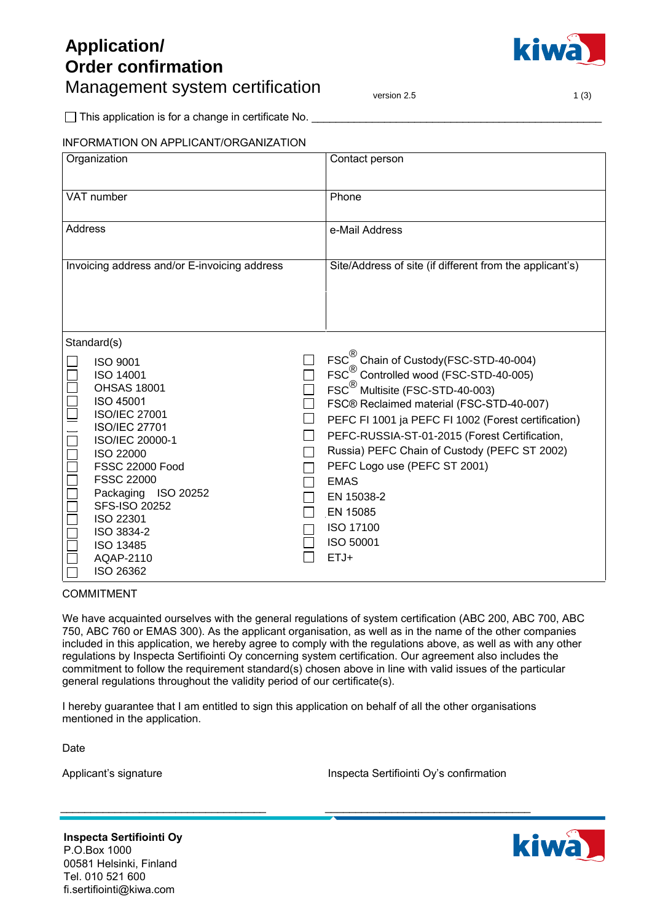## **Application/ Order confirmation** Management system certification  $\sum_{\text{version 2.5}}$  and  $\sum_{\text{1 (3)}}$



\_\_\_\_\_\_\_\_\_\_\_\_\_\_\_\_\_\_\_\_\_\_\_\_\_\_\_\_\_\_\_\_\_\_\_\_\_\_\_\_\_\_\_\_\_\_\_\_  $\Box$  This application is for a change in certificate No.  $\Box$ 

|            | <b>INFORMATION ON APPLICANT/ORGANIZATION</b>                                                                                                                                                    |                |                                                                                                                                                                                                                                                                                                                                                                                           |
|------------|-------------------------------------------------------------------------------------------------------------------------------------------------------------------------------------------------|----------------|-------------------------------------------------------------------------------------------------------------------------------------------------------------------------------------------------------------------------------------------------------------------------------------------------------------------------------------------------------------------------------------------|
|            | Organization                                                                                                                                                                                    |                | Contact person                                                                                                                                                                                                                                                                                                                                                                            |
| VAT number |                                                                                                                                                                                                 | Phone          |                                                                                                                                                                                                                                                                                                                                                                                           |
| Address    |                                                                                                                                                                                                 | e-Mail Address |                                                                                                                                                                                                                                                                                                                                                                                           |
|            | Invoicing address and/or E-invoicing address                                                                                                                                                    |                | Site/Address of site (if different from the applicant's)                                                                                                                                                                                                                                                                                                                                  |
|            | Standard(s)<br><b>ISO 9001</b><br><b>ISO 14001</b><br><b>OHSAS 18001</b><br>ISO 45001<br><b>ISO/IEC 27001</b><br><b>ISO/IEC 27701</b><br>ISO/IEC 20000-1<br>ISO 22000<br><b>FSSC 22000 Food</b> |                | FSC <sup>®</sup> Chain of Custody(FSC-STD-40-004)<br>FSC <sup>®</sup> Controlled wood (FSC-STD-40-005)<br>FSC <sup>®</sup> Multisite (FSC-STD-40-003)<br>FSC® Reclaimed material (FSC-STD-40-007)<br>PEFC FI 1001 ja PEFC FI 1002 (Forest certification)<br>PEFC-RUSSIA-ST-01-2015 (Forest Certification,<br>Russia) PEFC Chain of Custody (PEFC ST 2002)<br>PEFC Logo use (PEFC ST 2001) |
|            | <b>FSSC 22000</b><br>Packaging ISO 20252<br>SFS-ISO 20252<br>ISO 22301<br>ISO 3834-2<br><b>ISO 13485</b><br>AQAP-2110<br>ISO 26362                                                              |                | <b>EMAS</b><br>EN 15038-2<br>EN 15085<br>ISO 17100<br>ISO 50001<br>$ETJ+$                                                                                                                                                                                                                                                                                                                 |

COMMITMENT

We have acquainted ourselves with the general regulations of system certification (ABC 200, ABC 700, ABC 750, ABC 760 or EMAS 300). As the applicant organisation, as well as in the name of the other companies included in this application, we hereby agree to comply with the regulations above, as well as with any other regulations by Inspecta Sertifiointi Oy concerning system certification. Our agreement also includes the commitment to follow the requirement standard(s) chosen above in line with valid issues of the particular general regulations throughout the validity period of our certificate(s).

I hereby guarantee that I am entitled to sign this application on behalf of all the other organisations mentioned in the application.

Date

Applicant's signature

Inspecta Sertifiointi Oy's confirmation

\_\_\_\_\_\_\_\_\_\_\_\_\_\_\_\_\_\_\_\_\_\_\_\_\_\_\_\_\_\_\_\_\_\_

**Inspecta Sertifiointi Oy** P.O.Box 1000 00581 Helsinki, Finland Tel. 010 521 600 fi.sertifiointi@kiwa.com

\_\_\_\_\_\_\_\_\_\_\_\_\_\_\_\_\_\_\_\_\_\_\_\_\_\_\_\_\_\_\_\_\_\_

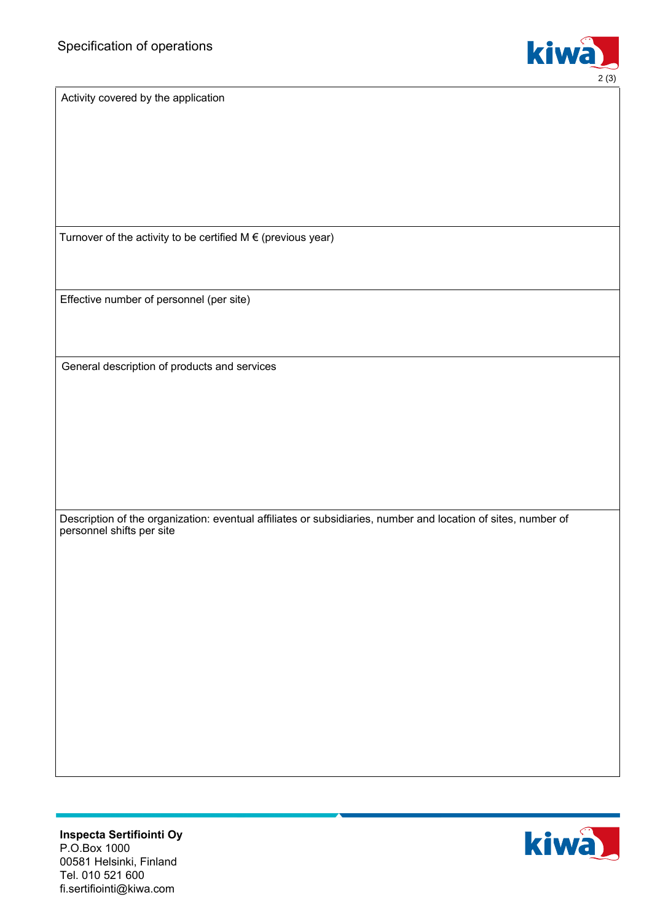

Activity covered by the application

Turnover of the activity to be certified  $M \in (previous year)$ 

Effective number of personnel (per site)

General description of products and services

Description of the organization: eventual affiliates or subsidiaries, number and location of sites, number of personnel shifts per site